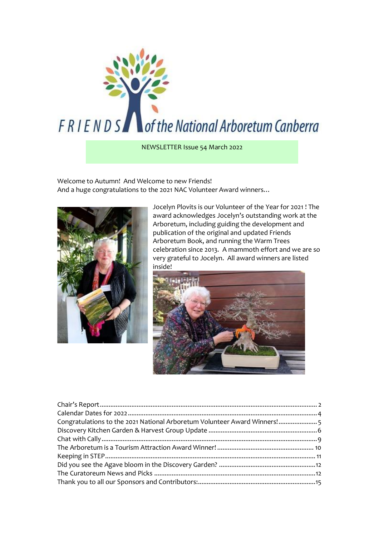

NEWSLETTER Issue 54 March 2022

Welcome to Autumn! And Welcome to new Friends! And a huge congratulations to the 2021 NAC Volunteer Award winners…



Jocelyn Plovits is our Volunteer of the Year for 2021 ! The award acknowledges Jocelyn's outstanding work at the Arboretum, including guiding the development and publication of the original and updated Friends Arboretum Book, and running the Warm Trees celebration since 2013. A mammoth effort and we are so very grateful to Jocelyn. All award winners are listed inside!



| Congratulations to the 2021 National Arboretum Volunteer Award Winners!5 |  |
|--------------------------------------------------------------------------|--|
|                                                                          |  |
|                                                                          |  |
|                                                                          |  |
|                                                                          |  |
|                                                                          |  |
|                                                                          |  |
|                                                                          |  |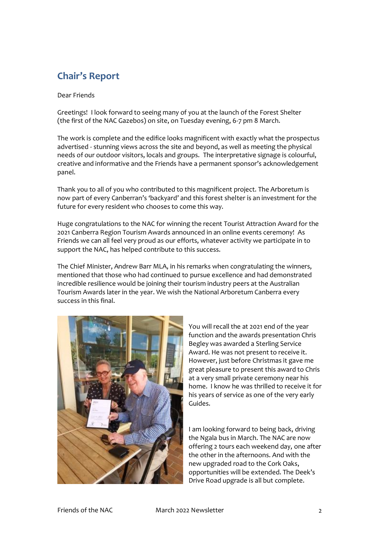# <span id="page-1-0"></span>**Chair's Report**

Dear Friends

Greetings! I look forward to seeing many of you at the launch of the Forest Shelter (the first of the NAC Gazebos) on site, on Tuesday evening, 6-7 pm 8 March.

The work is complete and the edifice looks magnificent with exactly what the prospectus advertised - stunning views across the site and beyond, as well as meeting the physical needs of our outdoor visitors, locals and groups. The interpretative signage is colourful, creative and informative and the Friends have a permanent sponsor's acknowledgement panel.

Thank you to all of you who contributed to this magnificent project. The Arboretum is now part of every Canberran's 'backyard' and this forest shelter is an investment for the future for every resident who chooses to come this way.

Huge congratulations to the NAC for winning the recent Tourist Attraction Award for the 2021 Canberra Region Tourism Awards announced in an online events ceremony! As Friends we can all feel very proud as our efforts, whatever activity we participate in to support the NAC, has helped contribute to this success.

The Chief Minister, Andrew Barr MLA, in his remarks when congratulating the winners, mentioned that those who had continued to pursue excellence and had demonstrated incredible resilience would be joining their tourism industry peers at the Australian Tourism Awards later in the year. We wish the National Arboretum Canberra every success in this final.



You will recall the at 2021 end of the year function and the awards presentation Chris Begley was awarded a Sterling Service Award. He was not present to receive it. However, just before Christmas it gave me great pleasure to present this award to Chris at a very small private ceremony near his home. I know he was thrilled to receive it for his years of service as one of the very early Guides.

I am looking forward to being back, driving the Ngala bus in March. The NAC are now offering 2 tours each weekend day, one after the other in the afternoons. And with the new upgraded road to the Cork Oaks, opportunities will be extended. The Deek's Drive Road upgrade is all but complete.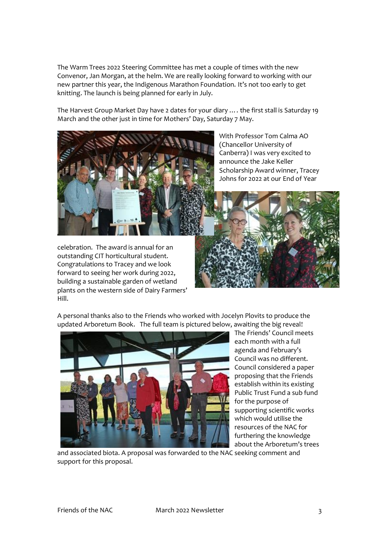The Warm Trees 2022 Steering Committee has met a couple of times with the new Convenor, Jan Morgan, at the helm. We are really looking forward to working with our new partner this year, the Indigenous Marathon Foundation. It's not too early to get knitting. The launch is being planned for early in July.

The Harvest Group Market Day have 2 dates for your diary …. the first stall is Saturday 19 March and the other just in time for Mothers' Day, Saturday 7 May.



celebration. The award is annual for an outstanding CIT horticultural student. Congratulations to Tracey and we look forward to seeing her work during 2022, building a sustainable garden of wetland plants on the western side of Dairy Farmers' Hill.

With Professor Tom Calma AO (Chancellor University of Canberra) I was very excited to announce the Jake Keller Scholarship Award winner, Tracey Johns for 2022 at our End of Year



A personal thanks also to the Friends who worked with Jocelyn Plovits to produce the updated Arboretum Book. The full team is pictured below, awaiting the big reveal!



The Friends' Council meets each month with a full agenda and February's Council was no different. Council considered a paper proposing that the Friends establish within its existing Public Trust Fund a sub fund for the purpose of supporting scientific works which would utilise the resources of the NAC for furthering the knowledge about the Arboretum's trees

and associated biota. A proposal was forwarded to the NAC seeking comment and support for this proposal.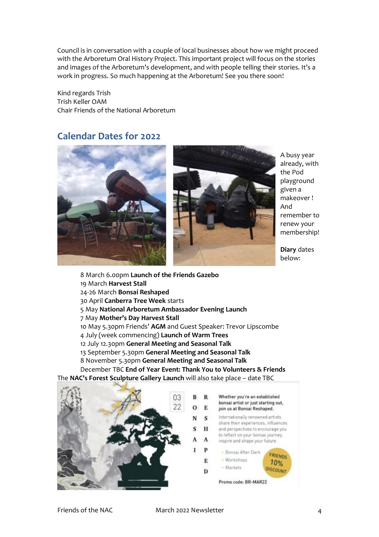Council is in conversation with a couple of local businesses about how we might proceed with the Arboretum Oral History Project. This important project will focus on the stories and images of the Arboretum's development, and with people telling their stories. It's a work in progress. So much happening at the Arboretum! See you there soon!

Kind regards Trish Trish Keller OAM Chair Friends of the National Arboretum

#### <span id="page-3-0"></span>**Calendar Dates for 2022**



A busy year already, with the Pod playground given a makeover ! And remember to renew your membership!

**Diary** dates below:

8 March 6.00pm **Launch of the Friends Gazebo** 19 March **Harvest Stall** 24-26 March **Bonsai Reshaped**  30 April **Canberra Tree Week** starts 5 May **National Arboretum Ambassador Evening Launch** 7 May **Mother's Day Harvest Stall** 10 May 5.30pm Friends' **AGM** and Guest Speaker: Trevor Lipscombe 4 July (week commencing) **Launch of Warm Trees** 12 July 12.30pm **General Meeting and Seasonal Talk**  13 September 5.30pm **General Meeting and Seasonal Talk**  8 November 5.30pm **General Meeting and Seasonal Talk**  December TBC **End of Year Event: Thank You to Volunteers & Friends**

The **NAC's Forest Sculpture Gallery Launch** will also take place – date TBC

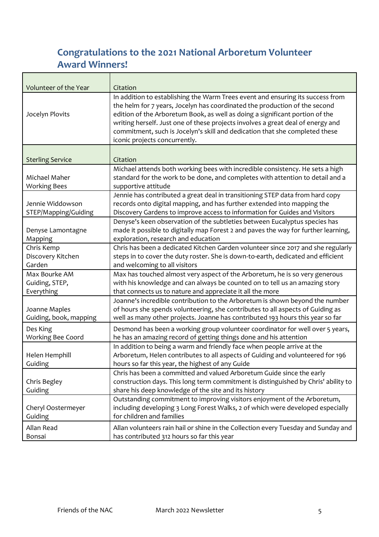# <span id="page-4-0"></span>**Congratulations to the 2021 National Arboretum Volunteer Award Winners!**

| Volunteer of the Year                         | Citation                                                                                                                                                                                                                                                                                                                                                                                                                                        |
|-----------------------------------------------|-------------------------------------------------------------------------------------------------------------------------------------------------------------------------------------------------------------------------------------------------------------------------------------------------------------------------------------------------------------------------------------------------------------------------------------------------|
| Jocelyn Plovits                               | In addition to establishing the Warm Trees event and ensuring its success from<br>the helm for 7 years, Jocelyn has coordinated the production of the second<br>edition of the Arboretum Book, as well as doing a significant portion of the<br>writing herself. Just one of these projects involves a great deal of energy and<br>commitment, such is Jocelyn's skill and dedication that she completed these<br>iconic projects concurrently. |
| <b>Sterling Service</b>                       | Citation                                                                                                                                                                                                                                                                                                                                                                                                                                        |
| Michael Maher<br><b>Working Bees</b>          | Michael attends both working bees with incredible consistency. He sets a high<br>standard for the work to be done, and completes with attention to detail and a<br>supportive attitude                                                                                                                                                                                                                                                          |
| Jennie Widdowson<br>STEP/Mapping/Guiding      | Jennie has contributed a great deal in transitioning STEP data from hard copy<br>records onto digital mapping, and has further extended into mapping the<br>Discovery Gardens to improve access to information for Guides and Visitors                                                                                                                                                                                                          |
| Denyse Lamontagne<br>Mapping                  | Denyse's keen observation of the subtleties between Eucalyptus species has<br>made it possible to digitally map Forest 2 and paves the way for further learning,<br>exploration, research and education                                                                                                                                                                                                                                         |
| Chris Kemp<br>Discovery Kitchen<br>Garden     | Chris has been a dedicated Kitchen Garden volunteer since 2017 and she regularly<br>steps in to cover the duty roster. She is down-to-earth, dedicated and efficient<br>and welcoming to all visitors                                                                                                                                                                                                                                           |
| Max Bourke AM<br>Guiding, STEP,<br>Everything | Max has touched almost very aspect of the Arboretum, he is so very generous<br>with his knowledge and can always be counted on to tell us an amazing story<br>that connects us to nature and appreciate it all the more                                                                                                                                                                                                                         |
| Joanne Maples<br>Guiding, book, mapping       | Joanne's incredible contribution to the Arboretum is shown beyond the number<br>of hours she spends volunteering, she contributes to all aspects of Guiding as<br>well as many other projects. Joanne has contributed 193 hours this year so far                                                                                                                                                                                                |
| Des King<br>Working Bee Coord                 | Desmond has been a working group volunteer coordinator for well over 5 years,<br>he has an amazing record of getting things done and his attention                                                                                                                                                                                                                                                                                              |
| Helen Hemphill<br>Guiding                     | In addition to being a warm and friendly face when people arrive at the<br>Arboretum, Helen contributes to all aspects of Guiding and volunteered for 196<br>hours so far this year, the highest of any Guide                                                                                                                                                                                                                                   |
| Chris Begley<br>Guiding                       | Chris has been a committed and valued Arboretum Guide since the early<br>construction days. This long term commitment is distinguished by Chris' ability to<br>share his deep knowledge of the site and its history                                                                                                                                                                                                                             |
| Cheryl Oostermeyer<br>Guiding                 | Outstanding commitment to improving visitors enjoyment of the Arboretum,<br>including developing 3 Long Forest Walks, 2 of which were developed especially<br>for children and families                                                                                                                                                                                                                                                         |
| Allan Read<br>Bonsai                          | Allan volunteers rain hail or shine in the Collection every Tuesday and Sunday and<br>has contributed 312 hours so far this year                                                                                                                                                                                                                                                                                                                |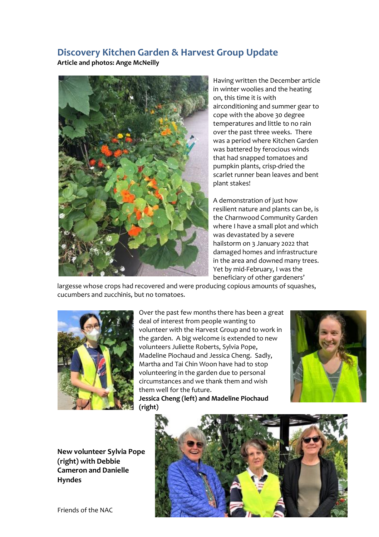### <span id="page-5-0"></span>**Discovery Kitchen Garden & Harvest Group Update**

**Article and photos: Ange McNeilly** 



Having written the December article in winter woolies and the heating on, this time it is with airconditioning and summer gear to cope with the above 30 degree temperatures and little to no rain over the past three weeks. There was a period where Kitchen Garden was battered by ferocious winds that had snapped tomatoes and pumpkin plants, crisp-dried the scarlet runner bean leaves and bent plant stakes!

A demonstration of just how resilient nature and plants can be, is the Charnwood Community Garden where I have a small plot and which was devastated by a severe hailstorm on 3 January 2022 that damaged homes and infrastructure in the area and downed many trees. Yet by mid-February, I was the beneficiary of other gardeners'

largesse whose crops had recovered and were producing copious amounts of squashes, cucumbers and zucchinis, but no tomatoes.



Over the past few months there has been a great deal of interest from people wanting to volunteer with the Harvest Group and to work in the garden. A big welcome is extended to new volunteers Juliette Roberts, Sylvia Pope, Madeline Piochaud and Jessica Cheng. Sadly, Martha and Tai Chin Woon have had to stop volunteering in the garden due to personal circumstances and we thank them and wish them well for the future.

**Jessica Cheng (left) and Madeline Piochaud (right)**



**New volunteer Sylvia Pope (right) with Debbie Cameron and Danielle Hyndes**

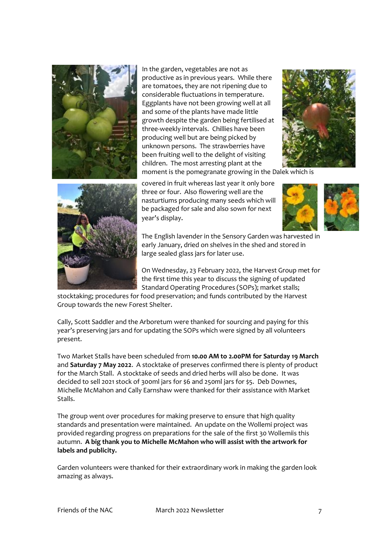

In the garden, vegetables are not as productive as in previous years. While there are tomatoes, they are not ripening due to considerable fluctuations in temperature. Eggplants have not been growing well at all and some of the plants have made little growth despite the garden being fertilised at three-weekly intervals. Chillies have been producing well but are being picked by unknown persons. The strawberries have been fruiting well to the delight of visiting children. The most arresting plant at the moment is the pomegranate growing in the Dalek which is





covered in fruit whereas last year it only bore three or four. Also flowering well are the nasturtiums producing many seeds which will be packaged for sale and also sown for next year's display.



The English lavender in the Sensory Garden was harvested in early January, dried on shelves in the shed and stored in large sealed glass jars for later use.

On Wednesday, 23 February 2022, the Harvest Group met for the first time this year to discuss the signing of updated Standard Operating Procedures (SOPs); market stalls;

stocktaking; procedures for food preservation; and funds contributed by the Harvest Group towards the new Forest Shelter.

Cally, Scott Saddler and the Arboretum were thanked for sourcing and paying for this year's preserving jars and for updating the SOPs which were signed by all volunteers present.

Two Market Stalls have been scheduled from **10.00 AM to 2.00PM for Saturday 19 March** and **Saturday 7 May 2022**. A stocktake of preserves confirmed there is plenty of product for the March Stall. A stocktake of seeds and dried herbs will also be done. It was decided to sell 2021 stock of 300ml jars for \$6 and 250ml jars for \$5. Deb Downes, Michelle McMahon and Cally Earnshaw were thanked for their assistance with Market Stalls.

The group went over procedures for making preserve to ensure that high quality standards and presentation were maintained. An update on the Wollemi project was provided regarding progress on preparations for the sale of the first 30 Wollemiis this autumn. **A big thank you to Michelle McMahon who will assist with the artwork for labels and publicity.**

Garden volunteers were thanked for their extraordinary work in making the garden look amazing as always.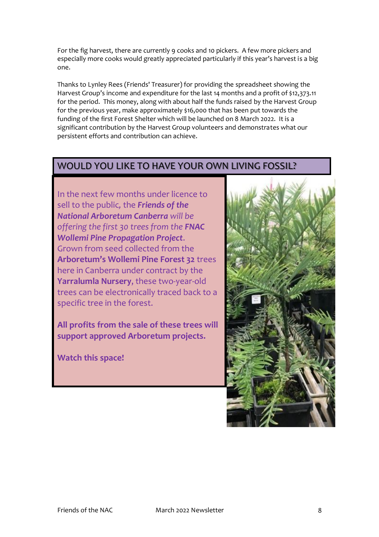For the fig harvest, there are currently 9 cooks and 10 pickers. A few more pickers and especially more cooks would greatly appreciated particularly if this year's harvest is a big one.

Thanks to Lynley Rees (Friends' Treasurer) for providing the spreadsheet showing the Harvest Group's income and expenditure for the last 14 months and a profit of \$12,373.11 for the period. This money, along with about half the funds raised by the Harvest Group for the previous year, make approximately \$16,000 that has been put towards the funding of the first Forest Shelter which will be launched on 8 March 2022. It is a significant contribution by the Harvest Group volunteers and demonstrates what our persistent efforts and contribution can achieve.

## WOULD YOU LIKE TO HAVE YOUR OWN LIVING FOSSIL?

In the next few months under licence to sell to the public*,* the *Friends of the National Arboretum Canberra will be offering the first 30 trees from the FNAC Wollemi Pine Propagation Project*. Grown from seed collected from the **Arboretum's Wollemi Pine Forest 32** trees here in Canberra under contract by the **Yarralumla Nursery**, these two-year-old trees can be electronically traced back to a specific tree in the forest.

**All profits from the sale of these trees will support approved Arboretum projects.**

**Watch this space!**

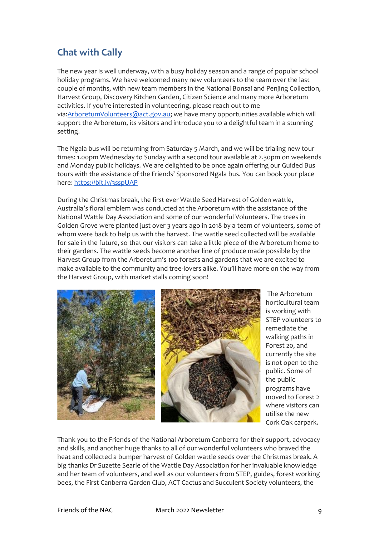## <span id="page-8-0"></span>**Chat with Cally**

The new year is well underway, with a busy holiday season and a range of popular school holiday programs. We have welcomed many new volunteers to the team over the last couple of months, with new team members in the National Bonsai and Penjing Collection, Harvest Group, Discovery Kitchen Garden, Citizen Science and many more Arboretum activities. If you're interested in volunteering, please reach out to me via[:ArboretumVolunteers@act.gov.au;](mailto:ArboretumVolunteers@act.gov.au) we have many opportunities available which will support the Arboretum, its visitors and introduce you to a delightful team in a stunning setting.

The Ngala bus will be returning from Saturday 5 March, and we will be trialing new tour times: 1.00pm Wednesday to Sunday with a second tour available at 2.30pm on weekends and Monday public holidays. We are delighted to be once again offering our Guided Bus tours with the assistance of the Friends' Sponsored Ngala bus. You can book your place here: <https://bit.ly/3sspUAP>

During the Christmas break, the first ever Wattle Seed Harvest of Golden wattle, Australia's floral emblem was conducted at the Arboretum with the assistance of the National Wattle Day Association and some of our wonderful Volunteers. The trees in Golden Grove were planted just over 3 years ago in 2018 by a team of volunteers, some of whom were back to help us with the harvest. The wattle seed collected will be available for sale in the future, so that our visitors can take a little piece of the Arboretum home to their gardens. The wattle seeds become another line of produce made possible by the Harvest Group from the Arboretum's 100 forests and gardens that we are excited to make available to the community and tree-lovers alike. You'll have more on the way from the Harvest Group, with market stalls coming soon!



The Arboretum horticultural team is working with STEP volunteers to remediate the walking paths in Forest 20, and currently the site is not open to the public. Some of the public programs have moved to Forest 2 where visitors can utilise the new Cork Oak carpark.

Thank you to the Friends of the National Arboretum Canberra for their support, advocacy and skills, and another huge thanks to all of our wonderful volunteers who braved the heat and collected a bumper harvest of Golden wattle seeds over the Christmas break. A big thanks Dr Suzette Searle of the Wattle Day Association for her invaluable knowledge and her team of volunteers, and well as our volunteers from STEP, guides, forest working bees, the First Canberra Garden Club, ACT Cactus and Succulent Society volunteers, the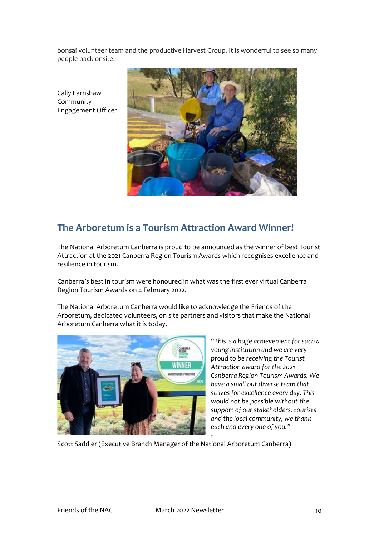bonsai volunteer team and the productive Harvest Group. It is wonderful to see so many people back onsite!

Cally Earnshaw Community Engagement Officer



## <span id="page-9-0"></span>**The Arboretum is a Tourism Attraction Award Winner!**

The National Arboretum Canberra is proud to be announced as the winner of best Tourist Attraction at the 2021 Canberra Region Tourism Awards which recognises excellence and resilience in tourism.

Canberra's best in tourism were honoured in what was the first ever virtual Canberra Region Tourism Awards on 4 February 2022.

The National Arboretum Canberra would like to acknowledge the Friends of the Arboretum, dedicated volunteers, on site partners and visitors that make the National Arboretum Canberra what it is today.



*"This is a huge achievement for such a young institution and we are very proud to be receiving the Tourist Attraction award for the 2021 Canberra Region Tourism Awards. We have a small but diverse team that strives for excellence every day. This would not be possible without the support of our stakeholders, tourists and the local community, we thank each and every one of you."*

Scott Saddler (Executive Branch Manager of the National Arboretum Canberra)

-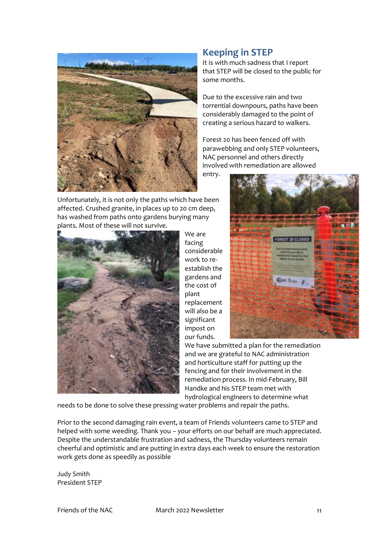

#### <span id="page-10-0"></span>**Keeping in STEP**

It is with much sadness that I report that STEP will be closed to the public for some months.

Due to the excessive rain and two torrential downpours, paths have been considerably damaged to the point of creating a serious hazard to walkers.

Forest 20 has been fenced off with parawebbing and only STEP volunteers, NAC personnel and others directly involved with remediation are allowed entry.

Unfortunately, it is not only the paths which have been affected. Crushed granite, in places up to 20 cm deep, has washed from paths onto gardens burying many plants. Most of these will not survive.



We are facing considerable work to reestablish the gardens and the cost of plant replacement will also be a significant impost on our funds.



We have submitted a plan for the remediation and we are grateful to NAC administration and horticulture staff for putting up the fencing and for their involvement in the remediation process. In mid-February, Bill Handke and his STEP team met with hydrological engineers to determine what

needs to be done to solve these pressing water problems and repair the paths.

Prior to the second damaging rain event, a team of Friends volunteers came to STEP and helped with some weeding. Thank you – your efforts on our behalf are much appreciated. Despite the understandable frustration and sadness, the Thursday volunteers remain cheerful and optimistic and are putting in extra days each week to ensure the restoration work gets done as speedily as possible

Judy Smith President STEP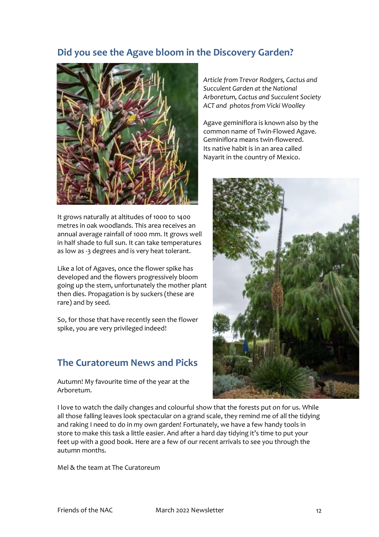### <span id="page-11-0"></span>**Did you see the Agave bloom in the Discovery Garden?**



It grows naturally at altitudes of 1000 to 1400 metres in oak woodlands. This area receives an annual average rainfall of 1000 mm. It grows well in half shade to full sun. It can take temperatures as low as -3 degrees and is very heat tolerant.

Like a lot of Agaves, once the flower spike has developed and the flowers progressively bloom going up the stem, unfortunately the mother plant then dies. Propagation is by suckers (these are rare) and by seed.

So, for those that have recently seen the flower spike, you are very privileged indeed!

## <span id="page-11-1"></span>**The Curatoreum News and Picks**

Autumn! My favourite time of the year at the Arboretum.

*Article from Trevor Rodgers, Cactus and Succulent Garden at the National Arboretum, Cactus and Succulent Society ACT and photos from Vicki Woolley*

Agave geminiflora is known also by the common name of Twin-Flowed Agave. Geminiflora means twin-flowered. Its native habit is in an area called Nayarit in the country of Mexico.



I love to watch the daily changes and colourful show that the forests put on for us. While all those falling leaves look spectacular on a grand scale, they remind me of all the tidying and raking I need to do in my own garden! Fortunately, we have a few handy tools in store to make this task a little easier. And after a hard day tidying it's time to put your feet up with a good book. Here are a few of our recent arrivals to see you through the autumn months.

Mel & the team at The Curatoreum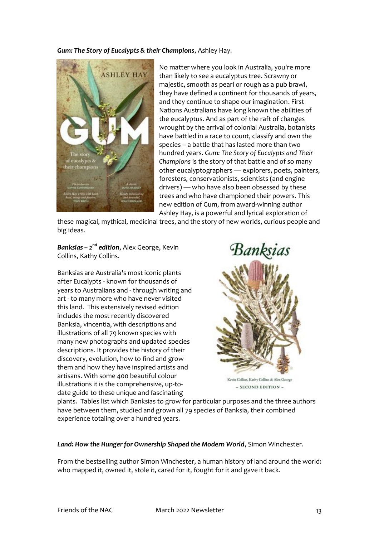*Gum: The Story of Eucalypts & their Champions*, Ashley Hay.



No matter where you look in Australia, you're more than likely to see a eucalyptus tree. Scrawny or majestic, smooth as pearl or rough as a pub brawl, they have defined a continent for thousands of years, and they continue to shape our imagination. First Nations Australians have long known the abilities of the eucalyptus. And as part of the raft of changes wrought by the arrival of colonial Australia, botanists have battled in a race to count, classify and own the species – a battle that has lasted more than two hundred years. *Gum: The Story of Eucalypts and Their Champions* is the story of that battle and of so many other eucalyptographers — explorers, poets, painters, foresters, conservationists, scientists (and engine drivers) — who have also been obsessed by these trees and who have championed their powers. This new edition of Gum, from award-winning author Ashley Hay, is a powerful and lyrical exploration of

these magical, mythical, medicinal trees, and the story of new worlds, curious people and big ideas.

*Banksias – 2 nd edition*, Alex George, Kevin Collins, Kathy Collins.

Banksias are Australia's most iconic plants after Eucalypts - known for thousands of years to Australians and - through writing and art - to many more who have never visited this land. This extensively revised edition includes the most recently discovered Banksia, vincentia, with descriptions and illustrations of all 79 known species with many new photographs and updated species descriptions. It provides the history of their discovery, evolution, how to find and grow them and how they have inspired artists and artisans. With some 400 beautiful colour illustrations it is the comprehensive, up-todate guide to these unique and fascinating



 $-$  SECOND EDITION  $-$ 

plants. Tables list which Banksias to grow for particular purposes and the three authors have between them, studied and grown all 79 species of Banksia, their combined experience totaling over a hundred years.

#### *Land: How the Hunger for Ownership Shaped the Modern World*, Simon Winchester.

From the bestselling author Simon Winchester, a human history of land around the world: who mapped it, owned it, stole it, cared for it, fought for it and gave it back.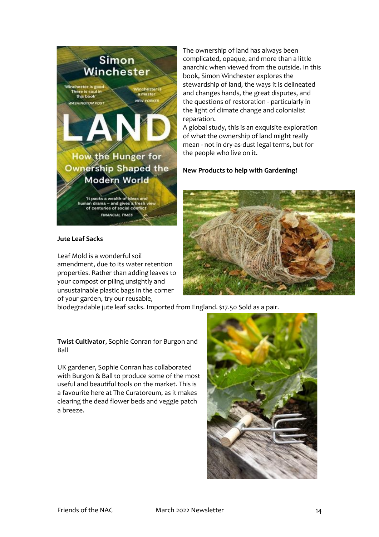

#### **Jute Leaf Sacks**

Leaf Mold is a wonderful soil amendment, due to its water retention properties. Rather than adding leaves to your compost or piling unsightly and unsustainable plastic bags in the corner of your garden, try our reusable,

The ownership of land has always been complicated, opaque, and more than a little anarchic when viewed from the outside. In this book, Simon Winchester explores the stewardship of land, the ways it is delineated and changes hands, the great disputes, and the questions of restoration - particularly in the light of climate change and colonialist reparation.

A global study, this is an exquisite exploration of what the ownership of land might really mean - not in dry-as-dust legal terms, but for the people who live on it.

#### **New Products to help with Gardening!**



biodegradable jute leaf sacks. Imported from England. \$17.50 Sold as a pair.

**Twist Cultivator**, Sophie Conran for Burgon and Ball

UK gardener, Sophie Conran has collaborated with Burgon & Ball to produce some of the most useful and beautiful tools on the market. This is a favourite here at The Curatoreum, as it makes clearing the dead flower beds and veggie patch a breeze.

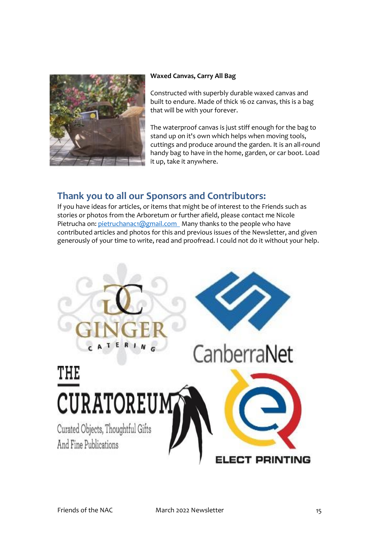

#### **Waxed Canvas, Carry All Bag**

Constructed with superbly durable waxed canvas and built to endure. Made of thick 16 oz canvas, this is a bag that will be with your forever.

The waterproof canvas is just stiff enough for the bag to stand up on it's own which helps when moving tools, cuttings and produce around the garden. It is an all-round handy bag to have in the home, garden, or car boot. Load it up, take it anywhere.

#### <span id="page-14-0"></span>**Thank you to all our Sponsors and Contributors:**

If you have ideas for articles, or items that might be of interest to the Friends such as stories or photos from the Arboretum or further afield, please contact me Nicole Pietrucha on: [pietruchanac1@gmail.com](mailto:pietruchanac1@gmail.com) Many thanks to the people who have contributed articles and photos for this and previous issues of the Newsletter, and given generously of your time to write, read and proofread. I could not do it without your help.